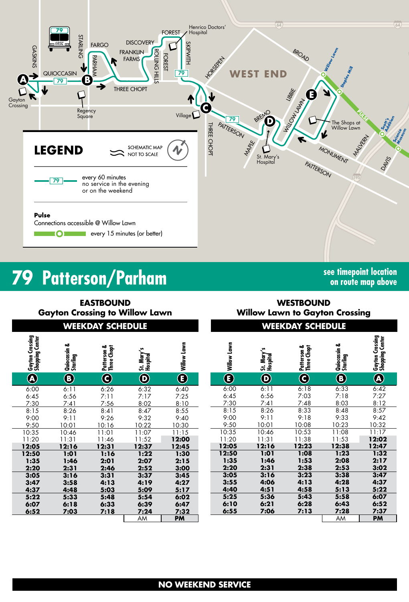

# **79** Patterson/Parham **See timepoint location**

**on route map above**

**EASTBOUND Gayton Crossing to Willow Lawn**

**WEEKDAY SCHEDULE WEEKDAY SCHEDULE WESTBOUND Willow Lawn to Gayton Crossing**

| Gayton Crossing<br>Shopping Center                                                               | Quiocassin &<br>Starling                                                                         | Patterson &<br>Three Chopt                                                                       | St. Mary's<br>Hospital                                                                           | Willow Lawn                                                                                      |
|--------------------------------------------------------------------------------------------------|--------------------------------------------------------------------------------------------------|--------------------------------------------------------------------------------------------------|--------------------------------------------------------------------------------------------------|--------------------------------------------------------------------------------------------------|
| $\widehat{\mathbf{A}}$                                                                           | $\mathbf{\widehat{B}}$                                                                           | G                                                                                                | $\overline{\mathbf{D}}$                                                                          | $\mathbf{\widehat{E}}$                                                                           |
| 6:00<br>6:45<br>7:30<br>8:15<br>9:00<br>9:50<br>10:35<br>11:20<br>12:05<br>12:50<br>1:35<br>2:20 | 6:11<br>6:56<br>7:41<br>8:26<br>9:11<br>10:01<br>10:46<br>11:31<br>12:16<br>1:01<br>1:46<br>2:31 | 6:26<br>7:11<br>7:56<br>8:41<br>9:26<br>10:16<br>11:01<br>11:46<br>12:31<br>1:16<br>2:01<br>2:46 | 6:32<br>7:17<br>8:02<br>8:47<br>9:32<br>10:22<br>11:07<br>11:52<br>12:37<br>1:22<br>2:07<br>2:52 | 6:40<br>7:25<br>8:10<br>8:55<br>9:40<br>10:30<br>11:15<br>12:00<br>12:45<br>1:30<br>2:15<br>3:00 |
| 3:05<br>3:47<br>4:37<br>5:22<br>6:07<br>6:52                                                     | 3:16<br>3:58<br>4:48<br>5:33<br>6:18<br>7:03                                                     | 3:31<br>4:13<br>5:03<br>5:48<br>6:33<br>7:18                                                     | 3:37<br>4:19<br>5:09<br>5:54<br>6:39<br>7:24<br>AM                                               | 3:45<br>4:27<br>5:17<br>6:02<br>6:47<br>7:32<br><b>PM</b>                                        |

| <b>Schoping Center</b> | ಹ<br>Quiocassin 4<br>Starling | Patterson &<br>Three Chopt | St. Mary's<br>Hospital     | Willow Lawn                       | Willow Lawn              | n<br>St. Mary's<br>Hospital | Patterson &<br>Three Chopt | ఱ<br>Quiocassin 4<br>Starling | <b>Gayton Crossing</b><br>Shopping Center |
|------------------------|-------------------------------|----------------------------|----------------------------|-----------------------------------|--------------------------|-----------------------------|----------------------------|-------------------------------|-------------------------------------------|
|                        | $\bigcirc$                    | $\overline{\mathbf{C}}$    | $\bigcirc$                 | $\bigcirc$                        | $\overline{\bm{\Theta}}$ | $\overline{\mathbf{O}}$     | $\overline{\mathbf{C}}$    | $\bigcirc$                    |                                           |
| $\overline{.00}$       | 6:11                          | 6:26                       | 6:32                       | 6:40                              | 6:00                     | 6:11                        | 6:18                       | 6:33                          | 6:42                                      |
| :45                    | 6:56                          | 7:11                       | 7:17                       | 7:25                              | 6:45                     | 6:56                        | 7:03                       | 7:18                          | 7:27                                      |
| :30                    | 7:41                          | 7:56                       | 8:02                       | 8:10                              | 7:30                     | 7:41                        | 7:48                       | 8:03                          | 8:12                                      |
| :15                    | 8:26                          | 8:41                       | 8:47                       | 8:55                              | 8:15                     | 8:26                        | 8:33                       | 8:48                          | 8:57                                      |
| :00                    | 9:11                          | 9:26                       | 9:32                       | 9:40                              | 9:00                     | 9:11                        | 9:18                       | 9:33                          | 9:42                                      |
| :50                    | 10:01                         | 10:16                      | 10:22                      | 10:30                             | 9:50                     | 10:01                       | 10:08                      | 10:23                         | 10:32                                     |
| :35                    | 10:46                         | 11:01                      | 11:07                      | 11:15                             | 10:35                    | 10:46                       | 10:53                      | 11:08                         | 11:17                                     |
| :20                    | 11:31                         | 11:46                      | 11:52                      | 12:00                             | 11:20                    | 11:31                       | 11:38                      | 11:53                         | 12:02                                     |
| :05                    | 12:16                         | 12:31                      | 12:37                      | 12:45                             | 12:05                    | 12:16                       | 12:23                      | 12:38                         | 12:47                                     |
| :50                    | 1:01                          | 1:16                       | 1:22                       | 1:30                              | 12:50                    | 1:01                        | 1:08                       | 1:23                          | 1:32                                      |
| :35                    | 1:46                          | 2:01                       | 2:07                       | 2:15                              | 1:35                     | 1:46                        | 1:53                       | 2:08                          | 2:17                                      |
| :20                    | 2:31                          | 2:46                       | 2:52                       | 3:00                              | 2:20                     | 2:31                        | 2:38                       | 2:53                          | 3:02                                      |
| :05                    | 3:16                          | 3:31                       | 3:37                       | 3:45                              | 3:05                     | 3:16                        | 3:23                       | 3:38                          | 3:47                                      |
| :47                    | 3:58                          | 4:13                       | 4:19                       | 4:27                              | 3:55                     | 4:06                        | 4:13                       | 4:28                          | 4:37                                      |
| :37                    | 4:48                          | 5:03                       | 5:09                       | 5:17                              | 4:40                     | 4:51                        | 4:58                       | 5:13                          | 5:22                                      |
| : 22<br>:07<br>:52     | 5:33<br>6:18<br>7:03          | 5:48<br>6:33<br>7:18       | 5:54<br>6:39<br>7:24<br>AM | 6:02<br>6:47<br>7:32<br><b>PM</b> | 5:25<br>6:10<br>6:55     | 5:36<br>6:21<br>7:06        | 5:43<br>6:28<br>7:13       | 5:58<br>6:43<br>7:28<br>AM    | 6:07<br>6:52<br>7:37<br><b>PM</b>         |
|                        |                               |                            |                            |                                   |                          |                             |                            |                               |                                           |

## **NO WEEKEND SERVICE**